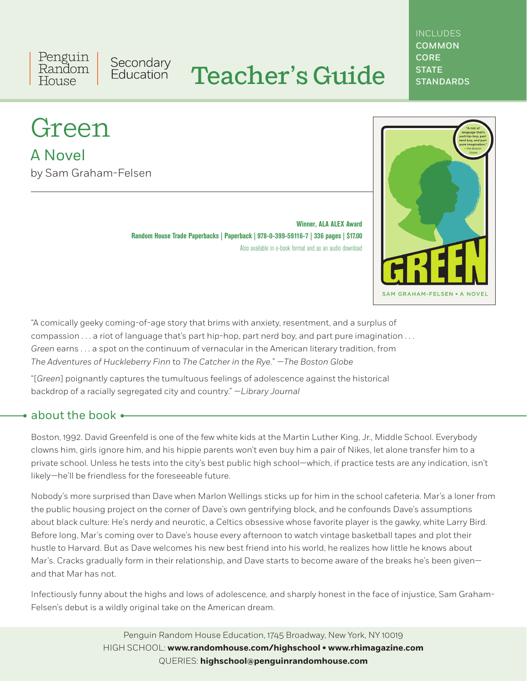Penguin Secondary<br>Education Random House

# Teacher's Guide

## **INCLUDES** COMMON **CORE STATE STANDARDS**

# Green

A Novel by Sam Graham-Felsen

> **Winner, ALA ALEX Award Random House Trade Paperbacks | Paperback | 978-0-399-59116-7 | 336 pages | \$17.00** Also available in e-book format and as an audio download



"A comically geeky coming-of-age story that brims with anxiety, resentment, and a surplus of compassion . . . a riot of language that's part hip-hop, part nerd boy, and part pure imagination . . . *Green* earns . . . a spot on the continuum of vernacular in the American literary tradition, from *The Adventures of Huckleberry Finn* to *The Catcher in the Rye.*" *—The Boston Globe*

"[*Green*] poignantly captures the tumultuous feelings of adolescence against the historical backdrop of a racially segregated city and country." —*Library Journal*

# about the book  $\leftarrow$

Boston, 1992. David Greenfeld is one of the few white kids at the Martin Luther King, Jr., Middle School. Everybody clowns him, girls ignore him, and his hippie parents won't even buy him a pair of Nikes, let alone transfer him to a private school. Unless he tests into the city's best public high school—which, if practice tests are any indication, isn't likely—he'll be friendless for the foreseeable future.

Nobody's more surprised than Dave when Marlon Wellings sticks up for him in the school cafeteria. Mar's a loner from the public housing project on the corner of Dave's own gentrifying block, and he confounds Dave's assumptions about black culture: He's nerdy and neurotic, a Celtics obsessive whose favorite player is the gawky, white Larry Bird. Before long, Mar's coming over to Dave's house every afternoon to watch vintage basketball tapes and plot their hustle to Harvard. But as Dave welcomes his new best friend into his world, he realizes how little he knows about Mar's. Cracks gradually form in their relationship, and Dave starts to become aware of the breaks he's been givenand that Mar has not.

Infectiously funny about the highs and lows of adolescence, and sharply honest in the face of injustice, Sam Graham-Felsen's debut is a wildly original take on the American dream.

> Penguin Random House Education, 1745 Broadway, New York, NY 10019 HIGH SCHOOL: **www.randomhouse.com/highschool • www.rhimagazine.com** QUERIES: **highschool@penguinrandomhouse.com**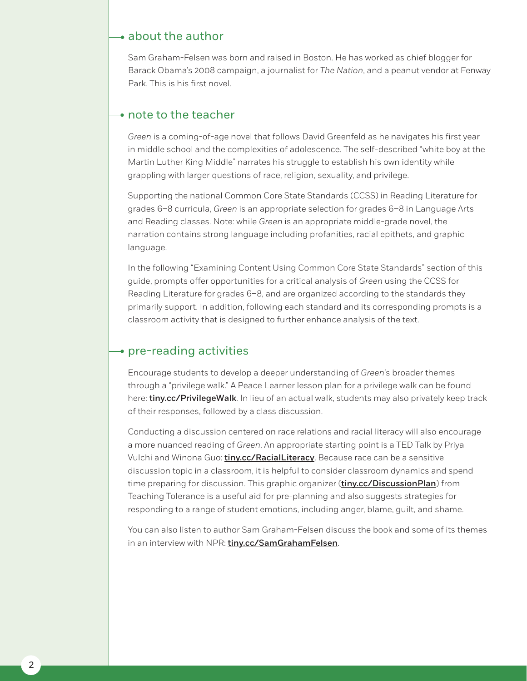## $\rightarrow$  about the author

Sam Graham-Felsen was born and raised in Boston. He has worked as chief blogger for Barack Obama's 2008 campaign, a journalist for *The Nation*, and a peanut vendor at Fenway Park. This is his first novel.

## $\rightarrow$  note to the teacher

*Green* is a coming-of-age novel that follows David Greenfeld as he navigates his first year in middle school and the complexities of adolescence. The self-described "white boy at the Martin Luther King Middle" narrates his struggle to establish his own identity while grappling with larger questions of race, religion, sexuality, and privilege.

Supporting the national Common Core State Standards (CCSS) in Reading Literature for grades 6–8 curricula, *Green* is an appropriate selection for grades 6–8 in Language Arts and Reading classes. Note: while *Green* is an appropriate middle-grade novel, the narration contains strong language including profanities, racial epithets, and graphic language.

In the following "Examining Content Using Common Core State Standards" section of this guide, prompts offer opportunities for a critical analysis of *Green* using the CCSS for Reading Literature for grades 6–8, and are organized according to the standards they primarily support. In addition, following each standard and its corresponding prompts is a classroom activity that is designed to further enhance analysis of the text.

# $\rightarrow$  pre-reading activities

Encourage students to develop a deeper understanding of *Green*'s broader themes through a "privilege walk." A Peace Learner lesson plan for a privilege walk can be found here: [tiny.cc/PrivilegeWalk](http://tiny.cc/PrivilegeWalk). In lieu of an actual walk, students may also privately keep track of their responses, followed by a class discussion.

Conducting a discussion centered on race relations and racial literacy will also encourage a more nuanced reading of *Green*. An appropriate starting point is a TED Talk by Priya Vulchi and Winona Guo: **[tiny.cc/RacialLiteracy](http://tiny.cc/RacialLiteracy)**. Because race can be a sensitive discussion topic in a classroom, it is helpful to consider classroom dynamics and spend time preparing for discussion. This graphic organizer (*[tiny.cc/DiscussionPlan](http://tiny.cc/DiscussionPlan)*) from Teaching Tolerance is a useful aid for pre-planning and also suggests strategies for responding to a range of student emotions, including anger, blame, guilt, and shame.

You can also listen to author Sam Graham-Felsen discuss the book and some of its themes in an interview with NPR: [tiny.cc/SamGrahamFelsen](http://tiny.cc/SamGrahamFelsen).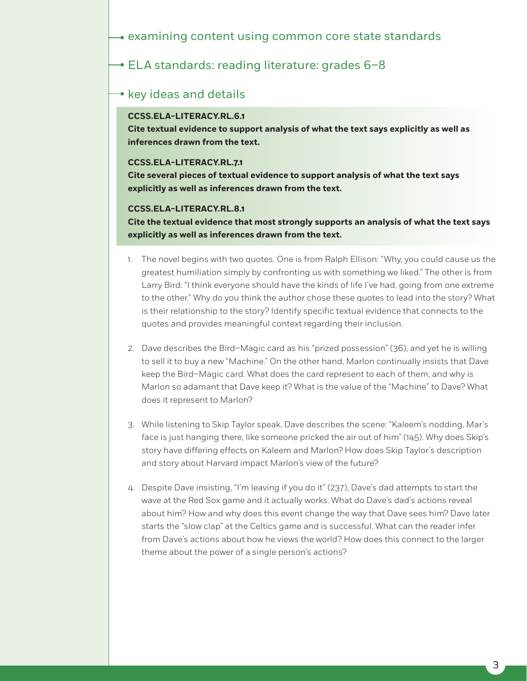# **→ ELA standards: reading literature: grades 6-8**

## $\rightarrow$  key ideas and details

## **CCSS.ELA-LITERACY.RL.6.1**

**Cite textual evidence to support analysis of what the text says explicitly as well as inferences drawn from the text.**

#### **CCSS.ELA-LITERACY.RL.7.1**

**Cite several pieces of textual evidence to support analysis of what the text says explicitly as well as inferences drawn from the text.**

## **CCSS.ELA-LITERACY.RL.8.1**

**Cite the textual evidence that most strongly supports an analysis of what the text says explicitly as well as inferences drawn from the text.**

- 1. The novel begins with two quotes. One is from Ralph Ellison: "Why, you could cause us the greatest humiliation simply by confronting us with something we liked." The other is from Larry Bird: "I think everyone should have the kinds of life I've had, going from one extreme to the other." Why do you think the author chose these quotes to lead into the story? What is their relationship to the story? Identify specific textual evidence that connects to the quotes and provides meaningful context regarding their inclusion.
- 2. Dave describes the Bird–Magic card as his "prized possession" (36), and yet he is willing to sell it to buy a new "Machine." On the other hand, Marlon continually insists that Dave keep the Bird–Magic card. What does the card represent to each of them, and why is Marlon so adamant that Dave keep it? What is the value of the "Machine" to Dave? What does it represent to Marlon?
- 3. While listening to Skip Taylor speak, Dave describes the scene: "Kaleem's nodding, Mar's face is just hanging there, like someone pricked the air out of him" (145). Why does Skip's story have differing effects on Kaleem and Marlon? How does Skip Taylor's description and story about Harvard impact Marlon's view of the future?
- 4. Despite Dave insisting, "I'm leaving if you do it" (237), Dave's dad attempts to start the wave at the Red Sox game and it actually works. What do Dave's dad's actions reveal about him? How and why does this event change the way that Dave sees him? Dave later starts the "slow clap" at the Celtics game and is successful. What can the reader infer from Dave's actions about how he views the world? How does this connect to the larger theme about the power of a single person's actions?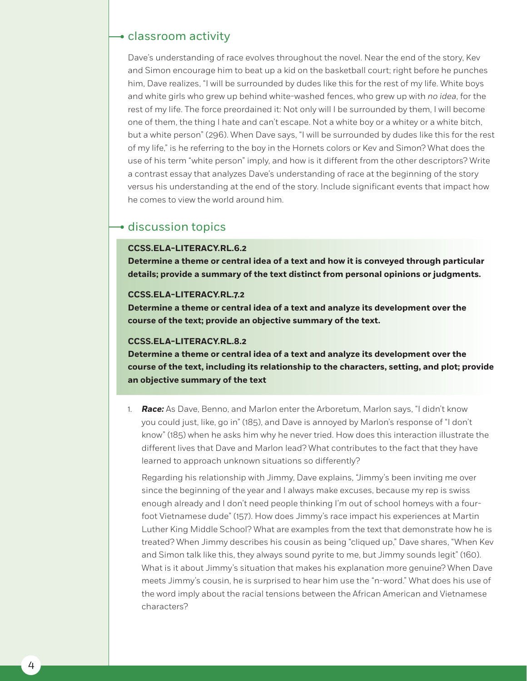## classroom activity

Dave's understanding of race evolves throughout the novel. Near the end of the story, Kev and Simon encourage him to beat up a kid on the basketball court; right before he punches him, Dave realizes, "I will be surrounded by dudes like this for the rest of my life. White boys and white girls who grew up behind white-washed fences, who grew up with *no idea*, for the rest of my life. The force preordained it: Not only will I be surrounded by them, I will become one of them, the thing I hate and can't escape. Not a white boy or a whitey or a white bitch, but a white person" (296). When Dave says, "I will be surrounded by dudes like this for the rest of my life," is he referring to the boy in the Hornets colors or Kev and Simon? What does the use of his term "white person" imply, and how is it different from the other descriptors? Write a contrast essay that analyzes Dave's understanding of race at the beginning of the story versus his understanding at the end of the story. Include significant events that impact how he comes to view the world around him.

# $\rightarrow$  discussion topics

#### **CCSS.ELA-LITERACY.RL.6.2**

**Determine a theme or central idea of a text and how it is conveyed through particular details; provide a summary of the text distinct from personal opinions or judgments.**

#### **CCSS.ELA-LITERACY.RL.7.2**

**Determine a theme or central idea of a text and analyze its development over the course of the text; provide an objective summary of the text.**

#### **CCSS.ELA-LITERACY.RL.8.2**

**Determine a theme or central idea of a text and analyze its development over the course of the text, including its relationship to the characters, setting, and plot; provide an objective summary of the text**

1. *Race:* As Dave, Benno, and Marlon enter the Arboretum, Marlon says, "I didn't know you could just, like, go in" (185), and Dave is annoyed by Marlon's response of "I don't know" (185) when he asks him why he never tried. How does this interaction illustrate the different lives that Dave and Marlon lead? What contributes to the fact that they have learned to approach unknown situations so differently?

Regarding his relationship with Jimmy, Dave explains, "Jimmy's been inviting me over since the beginning of the year and I always make excuses, because my rep is swiss enough already and I don't need people thinking I'm out of school homeys with a fourfoot Vietnamese dude" (157). How does Jimmy's race impact his experiences at Martin Luther King Middle School? What are examples from the text that demonstrate how he is treated? When Jimmy describes his cousin as being "cliqued up," Dave shares, "When Kev and Simon talk like this, they always sound pyrite to me, but Jimmy sounds legit" (160). What is it about Jimmy's situation that makes his explanation more genuine? When Dave meets Jimmy's cousin, he is surprised to hear him use the "n-word." What does his use of the word imply about the racial tensions between the African American and Vietnamese characters?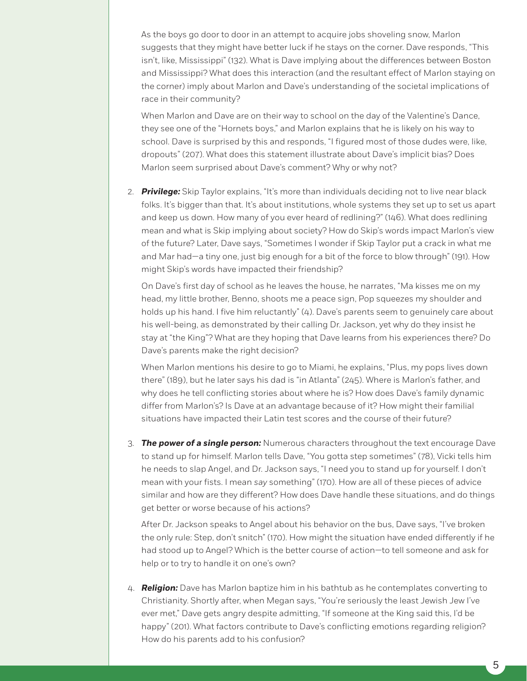As the boys go door to door in an attempt to acquire jobs shoveling snow, Marlon suggests that they might have better luck if he stays on the corner. Dave responds, "This isn't, like, Mississippi" (132). What is Dave implying about the differences between Boston and Mississippi? What does this interaction (and the resultant effect of Marlon staying on the corner) imply about Marlon and Dave's understanding of the societal implications of race in their community?

When Marlon and Dave are on their way to school on the day of the Valentine's Dance, they see one of the "Hornets boys," and Marlon explains that he is likely on his way to school. Dave is surprised by this and responds, "I figured most of those dudes were, like, dropouts" (207). What does this statement illustrate about Dave's implicit bias? Does Marlon seem surprised about Dave's comment? Why or why not?

2. *Privilege:* Skip Taylor explains, "It's more than individuals deciding not to live near black folks. It's bigger than that. It's about institutions, whole systems they set up to set us apart and keep us down. How many of you ever heard of redlining?" (146). What does redlining mean and what is Skip implying about society? How do Skip's words impact Marlon's view of the future? Later, Dave says, "Sometimes I wonder if Skip Taylor put a crack in what me and Mar had—a tiny one, just big enough for a bit of the force to blow through" (191). How might Skip's words have impacted their friendship?

On Dave's first day of school as he leaves the house, he narrates, "Ma kisses me on my head, my little brother, Benno, shoots me a peace sign, Pop squeezes my shoulder and holds up his hand. I five him reluctantly" (4). Dave's parents seem to genuinely care about his well-being, as demonstrated by their calling Dr. Jackson, yet why do they insist he stay at "the King"? What are they hoping that Dave learns from his experiences there? Do Dave's parents make the right decision?

When Marlon mentions his desire to go to Miami, he explains, "Plus, my pops lives down there" (189), but he later says his dad is "in Atlanta" (245). Where is Marlon's father, and why does he tell conflicting stories about where he is? How does Dave's family dynamic differ from Marlon's? Is Dave at an advantage because of it? How might their familial situations have impacted their Latin test scores and the course of their future?

3. *The power of a single person:* Numerous characters throughout the text encourage Dave to stand up for himself. Marlon tells Dave, "You gotta step sometimes" (78), Vicki tells him he needs to slap Angel, and Dr. Jackson says, "I need you to stand up for yourself. I don't mean with your fists. I mean *say* something" (170). How are all of these pieces of advice similar and how are they different? How does Dave handle these situations, and do things get better or worse because of his actions?

After Dr. Jackson speaks to Angel about his behavior on the bus, Dave says, "I've broken the only rule: Step, don't snitch" (170). How might the situation have ended differently if he had stood up to Angel? Which is the better course of action—to tell someone and ask for help or to try to handle it on one's own?

4. *Religion:* Dave has Marlon baptize him in his bathtub as he contemplates converting to Christianity. Shortly after, when Megan says, "You're seriously the least Jewish Jew I've ever met," Dave gets angry despite admitting, "If someone at the King said this, I'd be happy" (201). What factors contribute to Dave's conflicting emotions regarding religion? How do his parents add to his confusion?

5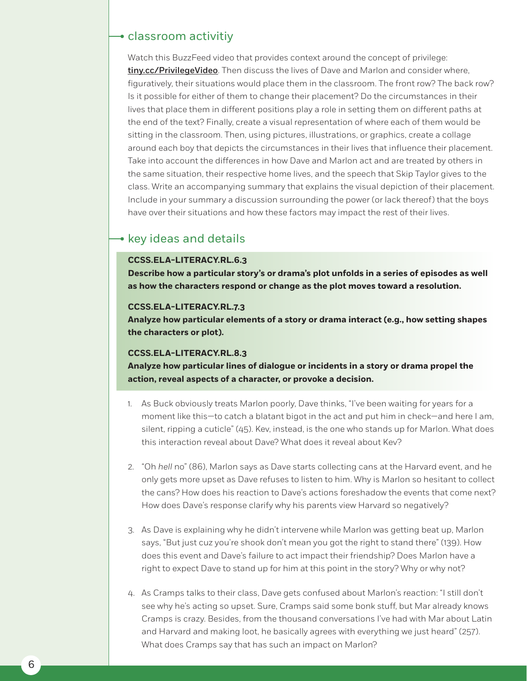## **→** classroom activitiy

Watch this BuzzFeed video that provides context around the concept of privilege: [tiny.cc/PrivilegeVideo](http://tiny.cc/PrivilegeVideo). Then discuss the lives of Dave and Marlon and consider where, figuratively, their situations would place them in the classroom. The front row? The back row? Is it possible for either of them to change their placement? Do the circumstances in their lives that place them in different positions play a role in setting them on different paths at the end of the text? Finally, create a visual representation of where each of them would be sitting in the classroom. Then, using pictures, illustrations, or graphics, create a collage around each boy that depicts the circumstances in their lives that influence their placement. Take into account the differences in how Dave and Marlon act and are treated by others in the same situation, their respective home lives, and the speech that Skip Taylor gives to the class. Write an accompanying summary that explains the visual depiction of their placement. Include in your summary a discussion surrounding the power (or lack thereof) that the boys have over their situations and how these factors may impact the rest of their lives.

## $\bullet$  key ideas and details

## **CCSS.ELA-LITERACY.RL.6.3**

**Describe how a particular story's or drama's plot unfolds in a series of episodes as well as how the characters respond or change as the plot moves toward a resolution.**

#### **CCSS.ELA-LITERACY.RL.7.3**

**Analyze how particular elements of a story or drama interact (e.g., how setting shapes the characters or plot).**

#### **CCSS.ELA-LITERACY.RL.8.3**

**Analyze how particular lines of dialogue or incidents in a story or drama propel the action, reveal aspects of a character, or provoke a decision.**

- 1. As Buck obviously treats Marlon poorly, Dave thinks, "I've been waiting for years for a moment like this—to catch a blatant bigot in the act and put him in check—and here I am, silent, ripping a cuticle" (45). Kev, instead, is the one who stands up for Marlon. What does this interaction reveal about Dave? What does it reveal about Kev?
- 2. "Oh *hell* no" (86), Marlon says as Dave starts collecting cans at the Harvard event, and he only gets more upset as Dave refuses to listen to him. Why is Marlon so hesitant to collect the cans? How does his reaction to Dave's actions foreshadow the events that come next? How does Dave's response clarify why his parents view Harvard so negatively?
- 3. As Dave is explaining why he didn't intervene while Marlon was getting beat up, Marlon says, "But just cuz you're shook don't mean you got the right to stand there" (139). How does this event and Dave's failure to act impact their friendship? Does Marlon have a right to expect Dave to stand up for him at this point in the story? Why or why not?
- 4. As Cramps talks to their class, Dave gets confused about Marlon's reaction: "I still don't see why he's acting so upset. Sure, Cramps said some bonk stuff, but Mar already knows Cramps is crazy. Besides, from the thousand conversations I've had with Mar about Latin and Harvard and making loot, he basically agrees with everything we just heard" (257). What does Cramps say that has such an impact on Marlon?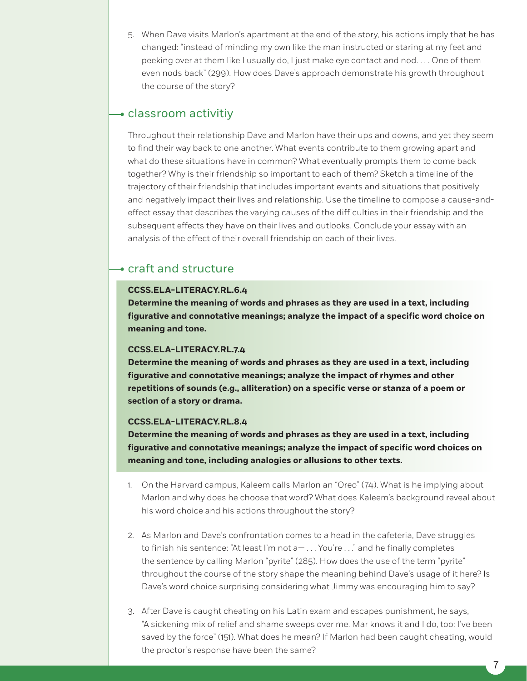5. When Dave visits Marlon's apartment at the end of the story, his actions imply that he has changed: "instead of minding my own like the man instructed or staring at my feet and peeking over at them like I usually do, I just make eye contact and nod. . . . One of them even nods back" (299). How does Dave's approach demonstrate his growth throughout the course of the story?

## classroom activitiy

Throughout their relationship Dave and Marlon have their ups and downs, and yet they seem to find their way back to one another. What events contribute to them growing apart and what do these situations have in common? What eventually prompts them to come back together? Why is their friendship so important to each of them? Sketch a timeline of the trajectory of their friendship that includes important events and situations that positively and negatively impact their lives and relationship. Use the timeline to compose a cause-andeffect essay that describes the varying causes of the difficulties in their friendship and the subsequent effects they have on their lives and outlooks. Conclude your essay with an analysis of the effect of their overall friendship on each of their lives.

# craft and structure

## **CCSS.ELA-LITERACY.RL.6.4**

**Determine the meaning of words and phrases as they are used in a text, including figurative and connotative meanings; analyze the impact of a specific word choice on meaning and tone.**

#### **CCSS.ELA-LITERACY.RL.7.4**

**Determine the meaning of words and phrases as they are used in a text, including figurative and connotative meanings; analyze the impact of rhymes and other repetitions of sounds (e.g., alliteration) on a specific verse or stanza of a poem or section of a story or drama.**

#### **CCSS.ELA-LITERACY.RL.8.4**

**Determine the meaning of words and phrases as they are used in a text, including figurative and connotative meanings; analyze the impact of specific word choices on meaning and tone, including analogies or allusions to other texts.**

- 1. On the Harvard campus, Kaleem calls Marlon an "Oreo" (74). What is he implying about Marlon and why does he choose that word? What does Kaleem's background reveal about his word choice and his actions throughout the story?
- 2. As Marlon and Dave's confrontation comes to a head in the cafeteria, Dave struggles to finish his sentence: "At least I'm not a- ... You're ..." and he finally completes the sentence by calling Marlon "pyrite" (285). How does the use of the term "pyrite" throughout the course of the story shape the meaning behind Dave's usage of it here? Is Dave's word choice surprising considering what Jimmy was encouraging him to say?
- 3. After Dave is caught cheating on his Latin exam and escapes punishment, he says, "A sickening mix of relief and shame sweeps over me. Mar knows it and I do, too: I've been saved by the force" (151). What does he mean? If Marlon had been caught cheating, would the proctor's response have been the same?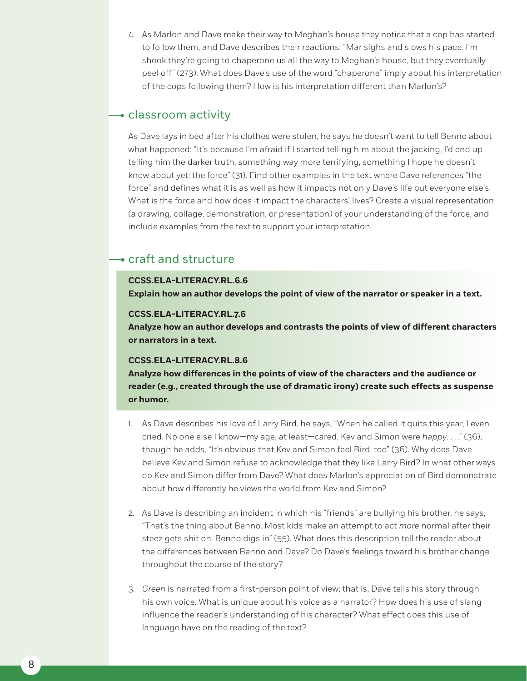4. As Marlon and Dave make their way to Meghan's house they notice that a cop has started to follow them, and Dave describes their reactions: "Mar sighs and slows his pace. I'm shook they're going to chaperone us all the way to Meghan's house, but they eventually peel off" (273). What does Dave's use of the word "chaperone" imply about his interpretation of the cops following them? How is his interpretation different than Marlon's?

## $\rightarrow$  classroom activity

As Dave lays in bed after his clothes were stolen, he says he doesn't want to tell Benno about what happened: "It's because I'm afraid if I started telling him about the jacking, I'd end up telling him the darker truth, something way more terrifying, something I hope he doesn't know about yet: the force" (31). Find other examples in the text where Dave references "the force" and defines what it is as well as how it impacts not only Dave's life but everyone else's. What is the force and how does it impact the characters' lives? Create a visual representation (a drawing, collage, demonstration, or presentation) of your understanding of the force, and include examples from the text to support your interpretation.

# craft and structure

#### **CCSS.ELA-LITERACY.RL.6.6**

**Explain how an author develops the point of view of the narrator or speaker in a text.**

#### **CCSS.ELA-LITERACY.RL.7.6**

**Analyze how an author develops and contrasts the points of view of different characters or narrators in a text.**

#### **CCSS.ELA-LITERACY.RL.8.6**

**Analyze how differences in the points of view of the characters and the audience or reader (e.g., created through the use of dramatic irony) create such effects as suspense or humor.**

- 1. As Dave describes his love of Larry Bird, he says, "When he called it quits this year, I even cried. No one else I know—my age, at least—cared. Kev and Simon were *happy*. . . ." (36), though he adds, "It's obvious that Kev and Simon feel Bird, too" (36). Why does Dave believe Kev and Simon refuse to acknowledge that they like Larry Bird? In what other ways do Kev and Simon differ from Dave? What does Marlon's appreciation of Bird demonstrate about how differently he views the world from Kev and Simon?
- 2. As Dave is describing an incident in which his "friends" are bullying his brother, he says, "That's the thing about Benno. Most kids make an attempt to act *more* normal after their steez gets shit on. Benno digs in" (55). What does this description tell the reader about the differences between Benno and Dave? Do Dave's feelings toward his brother change throughout the course of the story?
- 3. *Green* is narrated from a first-person point of view; that is, Dave tells his story through his own voice. What is unique about his voice as a narrator? How does his use of slang influence the reader's understanding of his character? What effect does this use of language have on the reading of the text?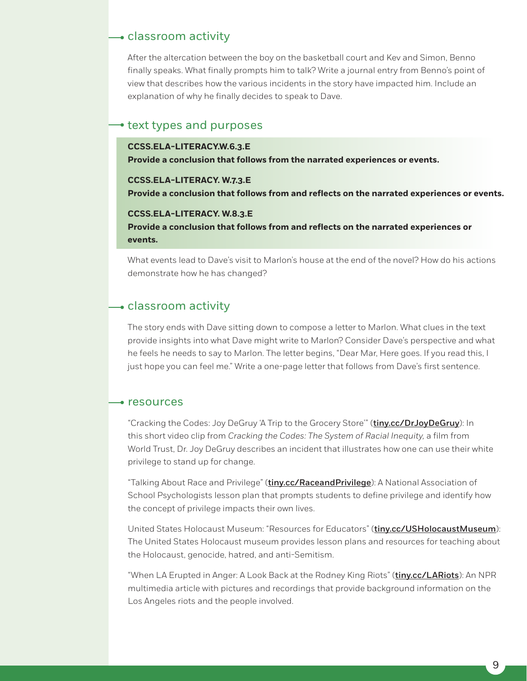## classroom activity

After the altercation between the boy on the basketball court and Kev and Simon, Benno finally speaks. What finally prompts him to talk? Write a journal entry from Benno's point of view that describes how the various incidents in the story have impacted him. Include an explanation of why he finally decides to speak to Dave.

## $\rightarrow$  text types and purposes

#### **CCSS.ELA-LITERACY.W.6.3.E**

**Provide a conclusion that follows from the narrated experiences or events.**

#### **CCSS.ELA-LITERACY. W.7.3.E**

**Provide a conclusion that follows from and reflects on the narrated experiences or events.**

#### **CCSS.ELA-LITERACY. W.8.3.E**

**Provide a conclusion that follows from and reflects on the narrated experiences or events.**

What events lead to Dave's visit to Marlon's house at the end of the novel? How do his actions demonstrate how he has changed?

## **-** classroom activity

The story ends with Dave sitting down to compose a letter to Marlon. What clues in the text provide insights into what Dave might write to Marlon? Consider Dave's perspective and what he feels he needs to say to Marlon. The letter begins, "Dear Mar, Here goes. If you read this, I just hope you can feel me." Write a one-page letter that follows from Dave's first sentence.

## $\rightarrow$  resources

"Cracking the Codes: Joy DeGruy 'A Trip to the Grocery Store'" ([tiny.cc/DrJoyDeGruy](http://tiny.cc/DrJoyDeGruy)): In this short video clip from *Cracking the Codes: The System of Racial Inequity,* a film from World Trust, Dr. Joy DeGruy describes an incident that illustrates how one can use their white privilege to stand up for change.

"Talking About Race and Privilege" (*[tiny.cc/RaceandPrivilege](http://tiny.cc/RaceandPrivilege)*): A National Association of School Psychologists lesson plan that prompts students to define privilege and identify how the concept of privilege impacts their own lives.

United States Holocaust Museum: "Resources for Educators" ([tiny.cc/USHolocaustMuseum](http://tiny.cc/USHolocaustMuseum)): The United States Holocaust museum provides lesson plans and resources for teaching about the Holocaust, genocide, hatred, and anti-Semitism.

"When LA Erupted in Anger: A Look Back at the Rodney King Riots" (*[tiny.cc/LARiots](http://tiny.cc/LARiots)*): An NPR multimedia article with pictures and recordings that provide background information on the Los Angeles riots and the people involved.